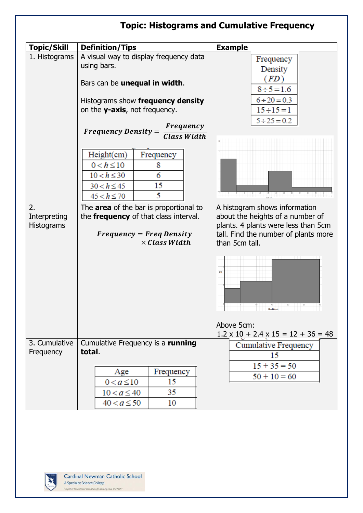| <b>Topic: Histograms and Cumulative Frequency</b> |                                                                                 |                                                                                                          |  |
|---------------------------------------------------|---------------------------------------------------------------------------------|----------------------------------------------------------------------------------------------------------|--|
| <b>Topic/Skill</b>                                | <b>Definition/Tips</b>                                                          | <b>Example</b>                                                                                           |  |
| 1. Histograms                                     | A visual way to display frequency data<br>using bars.                           | Frequency<br>Density                                                                                     |  |
|                                                   | Bars can be unequal in width.                                                   | (FD)<br>$8 \div 5 = 1.6$                                                                                 |  |
|                                                   | Histograms show frequency density<br>on the <b>y-axis</b> , not frequency.      | $6 \div 20 = 0.3$<br>$15 \div 15 = 1$                                                                    |  |
|                                                   | <b>Frequency</b><br>$Frequency Density =$<br><b>Class Width</b>                 | $5 \div 25 = 0.2$                                                                                        |  |
|                                                   | Height(cm)<br>Frequency                                                         |                                                                                                          |  |
|                                                   | $0 < h \le 10$<br>8<br>$10 < h \leq 30$<br>6                                    |                                                                                                          |  |
|                                                   | 15<br>$30 < h \le 45$<br>5<br>$45 < h \le 70$                                   |                                                                                                          |  |
| 2.<br>Interpreting<br><b>Histograms</b>           | The area of the bar is proportional to<br>the frequency of that class interval. | A histogram shows information<br>about the heights of a number of<br>plants. 4 plants were less than 5cm |  |
|                                                   | $Frequency = Freq Density$<br>$\times$ Class Width                              | tall. Find the number of plants more<br>than 5cm tall.                                                   |  |
|                                                   |                                                                                 | FD<br>$\begin{array}{c c} \hline \text{1D} & 20 \\ \text{Height (cm)} & \hline \end{array}$              |  |
|                                                   |                                                                                 | Above 5cm:<br>$1.2 \times 10 + 2.4 \times 15 = 12 + 36 = 48$                                             |  |
| 3. Cumulative<br>Frequency                        | Cumulative Frequency is a running<br>total.                                     | Cumulative Frequency<br>15                                                                               |  |
|                                                   | Frequency<br>Age<br>15<br>$0 < a \le 10$                                        | $15 + 35 = 50$<br>$50 + 10 = 60$                                                                         |  |
|                                                   | 35<br>$10 < a \leq 40$                                                          |                                                                                                          |  |
|                                                   | $40 < a \le 50$<br>10                                                           |                                                                                                          |  |